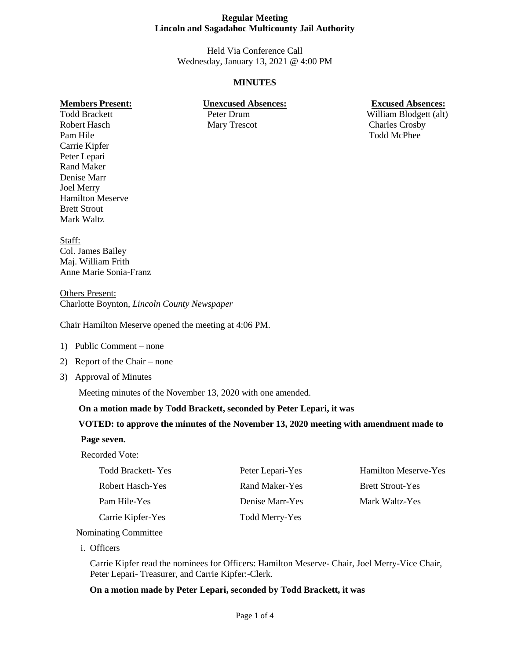Held Via Conference Call Wednesday, January 13, 2021 @ 4:00 PM

# **MINUTES**

#### **Members Present: Unexcused Absences: Excused Absences:**

Todd Brackett Peter Drum William Blodgett (alt)

Robert Hasch Mary Trescot Charles Crosby Pam Hile Todd McPhee Carrie Kipfer Peter Lepari Rand Maker Denise Marr Joel Merry Hamilton Meserve Brett Strout Mark Waltz

Staff: Col. James Bailey Maj. William Frith Anne Marie Sonia-Franz

Others Present: Charlotte Boynton, *Lincoln County Newspaper*

Chair Hamilton Meserve opened the meeting at 4:06 PM.

- 1) Public Comment none
- 2) Report of the Chair none
- 3) Approval of Minutes

Meeting minutes of the November 13, 2020 with one amended.

#### **On a motion made by Todd Brackett, seconded by Peter Lepari, it was**

#### **VOTED: to approve the minutes of the November 13, 2020 meeting with amendment made to**

#### **Page seven.**

Recorded Vote:

| <b>Todd Brackett-Yes</b> |  |
|--------------------------|--|
| Robert Hasch-Yes         |  |
| Pam Hile-Yes             |  |
| Carrie Kipfer-Yes        |  |

Todd Merry-Yes

Peter Lepari-Yes Hamilton Meserve-Yes Rand Maker-Yes Brett Strout-Yes **Denise Marr-Yes Mark Waltz-Yes** 

Nominating Committee

i. Officers

Carrie Kipfer read the nominees for Officers: Hamilton Meserve- Chair, Joel Merry-Vice Chair, Peter Lepari- Treasurer, and Carrie Kipfer:-Clerk.

#### **On a motion made by Peter Lepari, seconded by Todd Brackett, it was**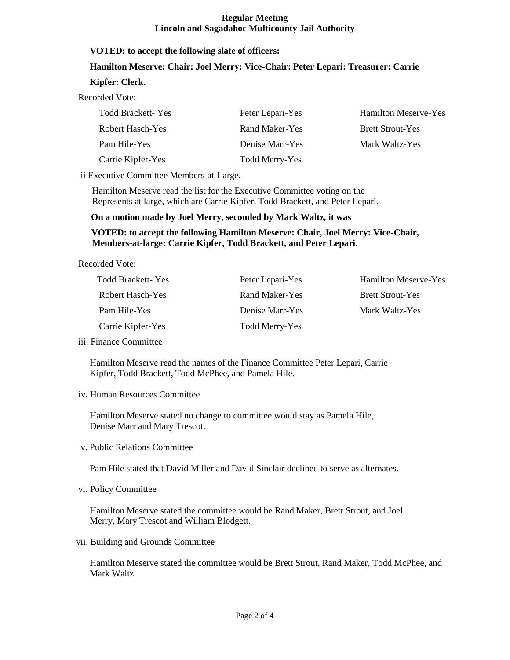#### **VOTED: to accept the following slate of officers:**

#### **Hamilton Meserve: Chair: Joel Merry: Vice-Chair: Peter Lepari: Treasurer: Carrie**

#### **Kipfer: Clerk.**

Recorded Vote:

| <b>Todd Brackett-Yes</b> | Peter Lepari-Yes | <b>Hamilton Meserve-Yes</b> |
|--------------------------|------------------|-----------------------------|
| Robert Hasch-Yes         | Rand Maker-Yes   | <b>Brett Strout-Yes</b>     |
| Pam Hile-Yes             | Denise Marr-Yes  | Mark Waltz-Yes              |
| Carrie Kipfer-Yes        | Todd Merry-Yes   |                             |

ii Executive Committee Members-at-Large.

Hamilton Meserve read the list for the Executive Committee voting on the Represents at large, which are Carrie Kipfer, Todd Brackett, and Peter Lepari.

 **On a motion made by Joel Merry, seconded by Mark Waltz, it was** 

## **VOTED: to accept the following Hamilton Meserve: Chair, Joel Merry: Vice-Chair, Members-at-large: Carrie Kipfer, Todd Brackett, and Peter Lepari.**

Recorded Vote:

| Todd Brackett-Yes | Peter Lepari-Yes | <b>Hamilton Meserve-Yes</b> |
|-------------------|------------------|-----------------------------|
| Robert Hasch-Yes  | Rand Maker-Yes   | <b>Brett Strout-Yes</b>     |
| Pam Hile-Yes      | Denise Marr-Yes  | Mark Waltz-Yes              |
| Carrie Kipfer-Yes | Todd Merry-Yes   |                             |

iii. Finance Committee

 Hamilton Meserve read the names of the Finance Committee Peter Lepari, Carrie Kipfer, Todd Brackett, Todd McPhee, and Pamela Hile.

iv. Human Resources Committee

 Hamilton Meserve stated no change to committee would stay as Pamela Hile, Denise Marr and Mary Trescot.

v. Public Relations Committee

Pam Hile stated that David Miller and David Sinclair declined to serve as alternates.

vi. Policy Committee

 Hamilton Meserve stated the committee would be Rand Maker, Brett Strout, and Joel Merry, Mary Trescot and William Blodgett.

vii. Building and Grounds Committee

 Hamilton Meserve stated the committee would be Brett Strout, Rand Maker, Todd McPhee, and Mark Waltz.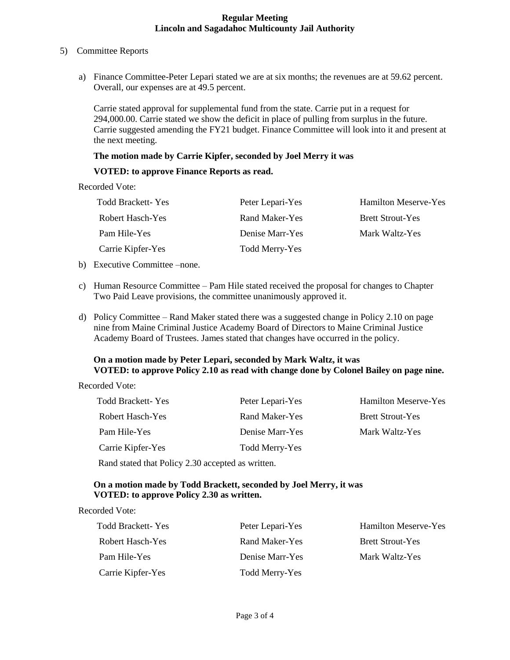#### 5) Committee Reports

a) Finance Committee-Peter Lepari stated we are at six months; the revenues are at 59.62 percent. Overall, our expenses are at 49.5 percent.

Carrie stated approval for supplemental fund from the state. Carrie put in a request for 294,000.00. Carrie stated we show the deficit in place of pulling from surplus in the future. Carrie suggested amending the FY21 budget. Finance Committee will look into it and present at the next meeting.

#### **The motion made by Carrie Kipfer, seconded by Joel Merry it was**

#### **VOTED: to approve Finance Reports as read.**

Recorded Vote:

| <b>Todd Brackett-Yes</b> | Peter Lepari-Yes | <b>Hamilton Meserve-Yes</b> |
|--------------------------|------------------|-----------------------------|
| Robert Hasch-Yes         | Rand Maker-Yes   | <b>Brett Strout-Yes</b>     |
| Pam Hile-Yes             | Denise Marr-Yes  | Mark Waltz-Yes              |
| Carrie Kipfer-Yes        | Todd Merry-Yes   |                             |

- b) Executive Committee –none.
- c) Human Resource Committee Pam Hile stated received the proposal for changes to Chapter Two Paid Leave provisions, the committee unanimously approved it.
- d) Policy Committee Rand Maker stated there was a suggested change in Policy 2.10 on page nine from Maine Criminal Justice Academy Board of Directors to Maine Criminal Justice Academy Board of Trustees. James stated that changes have occurred in the policy.

# **On a motion made by Peter Lepari, seconded by Mark Waltz, it was VOTED: to approve Policy 2.10 as read with change done by Colonel Bailey on page nine.**

Recorded Vote:

| <b>Todd Brackett-Yes</b> | Peter Lepari-Yes | <b>Hamilton Meserve-Yes</b> |
|--------------------------|------------------|-----------------------------|
| Robert Hasch-Yes         | Rand Maker-Yes   | <b>Brett Strout-Yes</b>     |
| Pam Hile-Yes             | Denise Marr-Yes  | Mark Waltz-Yes              |
| Carrie Kipfer-Yes        | Todd Merry-Yes   |                             |
|                          |                  |                             |

Rand stated that Policy 2.30 accepted as written.

# **On a motion made by Todd Brackett, seconded by Joel Merry, it was VOTED: to approve Policy 2.30 as written.**

Recorded Vote:

| Todd Brackett-Yes | Peter Lepari-Yes | <b>Hamilton Meserve-Yes</b> |
|-------------------|------------------|-----------------------------|
| Robert Hasch-Yes  | Rand Maker-Yes   | <b>Brett Strout-Yes</b>     |
| Pam Hile-Yes      | Denise Marr-Yes  | Mark Waltz-Yes              |
| Carrie Kipfer-Yes | Todd Merry-Yes   |                             |